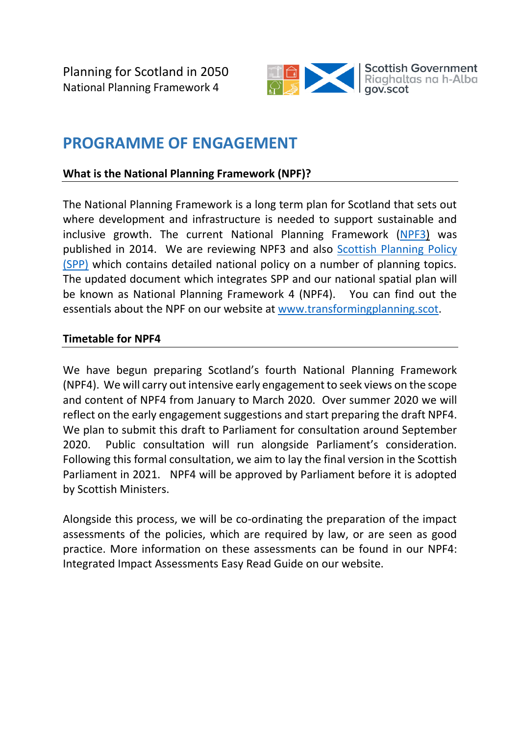

## **PROGRAMME OF ENGAGEMENT**

### **What is the National Planning Framework (NPF)?**

The National Planning Framework is a long term plan for Scotland that sets out where development and infrastructure is needed to support sustainable and inclusive growth. The current National Planning Framework [\(NPF3\)](https://www.gov.scot/publications/national-planning-framework-3/) was published in 2014. We are reviewing NPF3 and also [Scottish Planning Policy](https://www.gov.scot/publications/scottish-planning-policy/) [\(SPP\)](https://www.gov.scot/publications/scottish-planning-policy/) which contains detailed national policy on a number of planning topics. The updated document which integrates SPP and our national spatial plan will be known as National Planning Framework 4 (NPF4). You can find out the essentials about the NPF on our website at [www.transformingplanning.scot.](http://www.transformingplanning.scot/)

#### **Timetable for NPF4**

We have begun preparing Scotland's fourth National Planning Framework (NPF4). We will carry out intensive early engagement to seek views on the scope and content of NPF4 from January to March 2020. Over summer 2020 we will reflect on the early engagement suggestions and start preparing the draft NPF4. We plan to submit this draft to Parliament for consultation around September 2020. Public consultation will run alongside Parliament's consideration. Following this formal consultation, we aim to lay the final version in the Scottish Parliament in 2021. NPF4 will be approved by Parliament before it is adopted by Scottish Ministers.

Alongside this process, we will be co-ordinating the preparation of the impact assessments of the policies, which are required by law, or are seen as good practice. More information on these assessments can be found in our NPF4: Integrated Impact Assessments Easy Read Guide on our website.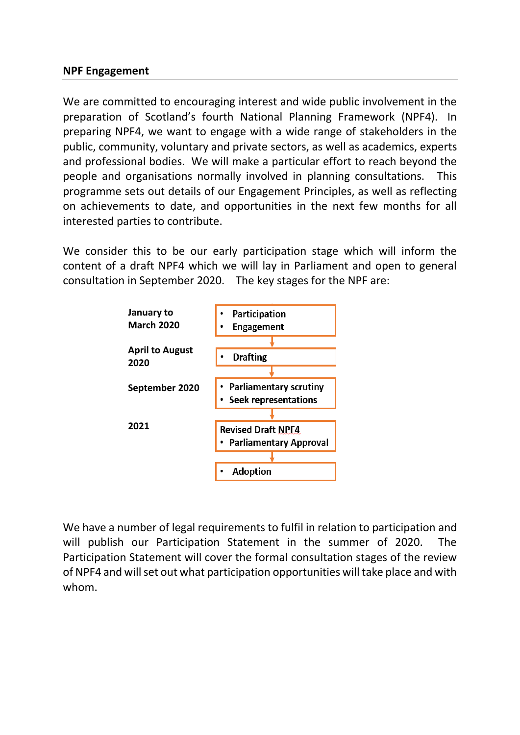#### **NPF Engagement**

We are committed to encouraging interest and wide public involvement in the preparation of Scotland's fourth National Planning Framework (NPF4). In preparing NPF4, we want to engage with a wide range of stakeholders in the public, community, voluntary and private sectors, as well as academics, experts and professional bodies. We will make a particular effort to reach beyond the people and organisations normally involved in planning consultations. This programme sets out details of our Engagement Principles, as well as reflecting on achievements to date, and opportunities in the next few months for all interested parties to contribute.

We consider this to be our early participation stage which will inform the content of a draft NPF4 which we will lay in Parliament and open to general consultation in September 2020. The key stages for the NPF are:



We have a number of legal requirements to fulfil in relation to participation and will publish our Participation Statement in the summer of 2020. The Participation Statement will cover the formal consultation stages of the review of NPF4 and will set out what participation opportunities will take place and with whom.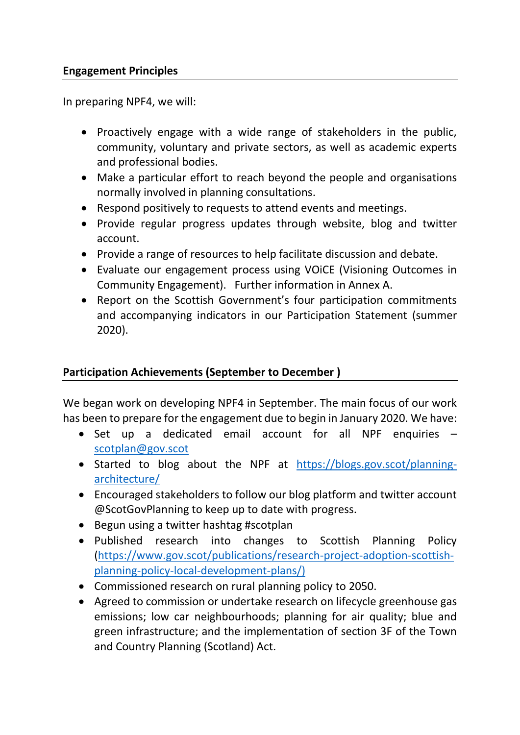### **Engagement Principles**

In preparing NPF4, we will:

- Proactively engage with a wide range of stakeholders in the public, community, voluntary and private sectors, as well as academic experts and professional bodies.
- Make a particular effort to reach beyond the people and organisations normally involved in planning consultations.
- Respond positively to requests to attend events and meetings.
- Provide regular progress updates through website, blog and twitter account.
- Provide a range of resources to help facilitate discussion and debate.
- Evaluate our engagement process using VOiCE (Visioning Outcomes in Community Engagement). Further information in Annex A.
- Report on the Scottish Government's four participation commitments and accompanying indicators in our Participation Statement (summer 2020).

### **Participation Achievements (September to December )**

We began work on developing NPF4 in September. The main focus of our work has been to prepare for the engagement due to begin in January 2020. We have:

- Set up a dedicated email account for all NPF enquiries [scotplan@gov.scot](mailto:scotplan@gov.scot)
- Started to blog about the NPF at [https://blogs.gov.scot/planning](https://blogs.gov.scot/planning-architecture/)[architecture/](https://blogs.gov.scot/planning-architecture/)
- Encouraged stakeholders to follow our blog platform and twitter account @ScotGovPlanning to keep up to date with progress.
- Begun using a twitter hashtag #scotplan
- Published research into changes to Scottish Planning Policy [\(https://www.gov.scot/publications/research-project-adoption-scottish](https://www.gov.scot/publications/research-project-adoption-scottish-planning-policy-local-development-plans/)[planning-policy-local-development-plans/\)](https://www.gov.scot/publications/research-project-adoption-scottish-planning-policy-local-development-plans/)
- Commissioned research on rural planning policy to 2050.
- Agreed to commission or undertake research on lifecycle greenhouse gas emissions; low car neighbourhoods; planning for air quality; blue and green infrastructure; and the implementation of section 3F of the Town and Country Planning (Scotland) Act.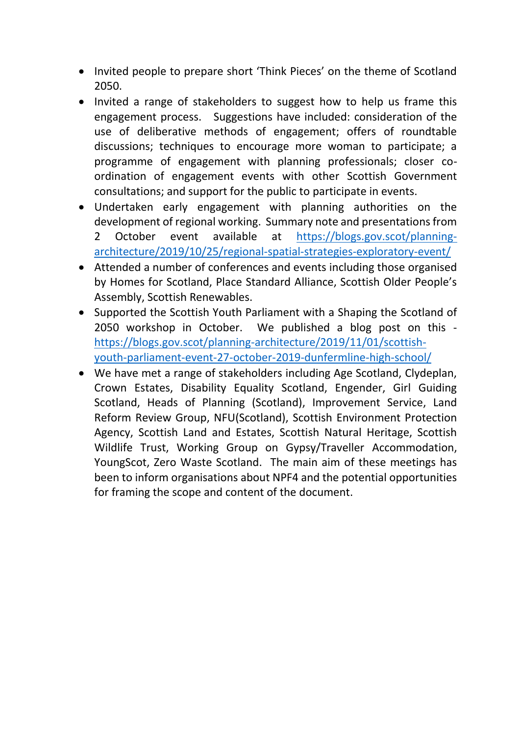- Invited people to prepare short 'Think Pieces' on the theme of Scotland 2050.
- Invited a range of stakeholders to suggest how to help us frame this engagement process. Suggestions have included: consideration of the use of deliberative methods of engagement; offers of roundtable discussions; techniques to encourage more woman to participate; a programme of engagement with planning professionals; closer coordination of engagement events with other Scottish Government consultations; and support for the public to participate in events.
- Undertaken early engagement with planning authorities on the development of regional working. Summary note and presentations from 2 October event available at [https://blogs.gov.scot/planning](https://blogs.gov.scot/planning-architecture/2019/10/25/regional-spatial-strategies-exploratory-event/)[architecture/2019/10/25/regional-spatial-strategies-exploratory-event/](https://blogs.gov.scot/planning-architecture/2019/10/25/regional-spatial-strategies-exploratory-event/)
- Attended a number of conferences and events including those organised by Homes for Scotland, Place Standard Alliance, Scottish Older People's Assembly, Scottish Renewables.
- Supported the Scottish Youth Parliament with a Shaping the Scotland of 2050 workshop in October. We published a blog post on this [https://blogs.gov.scot/planning-architecture/2019/11/01/scottish](https://blogs.gov.scot/planning-architecture/2019/11/01/scottish-youth-parliament-event-27-october-2019-dunfermline-high-school/)[youth-parliament-event-27-october-2019-dunfermline-high-school/](https://blogs.gov.scot/planning-architecture/2019/11/01/scottish-youth-parliament-event-27-october-2019-dunfermline-high-school/)
- We have met a range of stakeholders including Age Scotland, Clydeplan, Crown Estates, Disability Equality Scotland, Engender, Girl Guiding Scotland, Heads of Planning (Scotland), Improvement Service, Land Reform Review Group, NFU(Scotland), Scottish Environment Protection Agency, Scottish Land and Estates, Scottish Natural Heritage, Scottish Wildlife Trust, Working Group on Gypsy/Traveller Accommodation, YoungScot, Zero Waste Scotland. The main aim of these meetings has been to inform organisations about NPF4 and the potential opportunities for framing the scope and content of the document.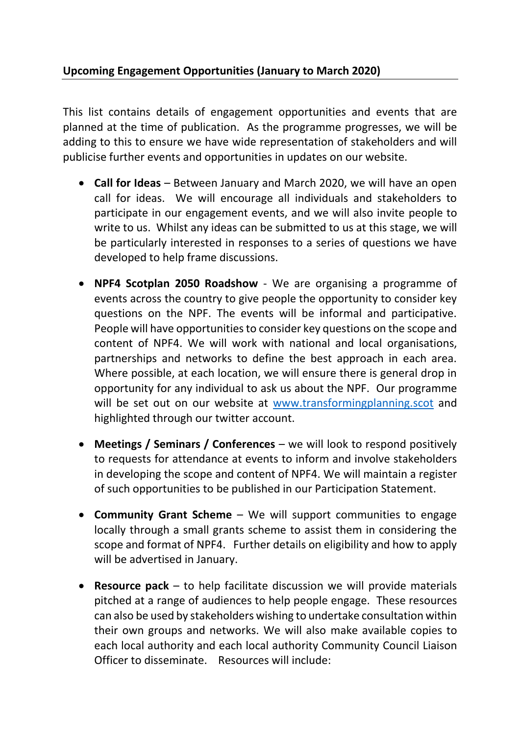### **Upcoming Engagement Opportunities (January to March 2020)**

This list contains details of engagement opportunities and events that are planned at the time of publication. As the programme progresses, we will be adding to this to ensure we have wide representation of stakeholders and will publicise further events and opportunities in updates on our website.

- **Call for Ideas** Between January and March 2020, we will have an open call for ideas. We will encourage all individuals and stakeholders to participate in our engagement events, and we will also invite people to write to us. Whilst any ideas can be submitted to us at this stage, we will be particularly interested in responses to a series of questions we have developed to help frame discussions.
- **NPF4 Scotplan 2050 Roadshow** We are organising a programme of events across the country to give people the opportunity to consider key questions on the NPF. The events will be informal and participative. People will have opportunities to consider key questions on the scope and content of NPF4. We will work with national and local organisations, partnerships and networks to define the best approach in each area. Where possible, at each location, we will ensure there is general drop in opportunity for any individual to ask us about the NPF. Our programme will be set out on our website at [www.transformingplanning.scot](http://www.transformingplanning.scot/) and highlighted through our twitter account.
- **Meetings / Seminars / Conferences** we will look to respond positively to requests for attendance at events to inform and involve stakeholders in developing the scope and content of NPF4. We will maintain a register of such opportunities to be published in our Participation Statement.
- **Community Grant Scheme** We will support communities to engage locally through a small grants scheme to assist them in considering the scope and format of NPF4. Further details on eligibility and how to apply will be advertised in January.
- **Resource pack** to help facilitate discussion we will provide materials pitched at a range of audiences to help people engage. These resources can also be used by stakeholders wishing to undertake consultation within their own groups and networks. We will also make available copies to each local authority and each local authority Community Council Liaison Officer to disseminate. Resources will include: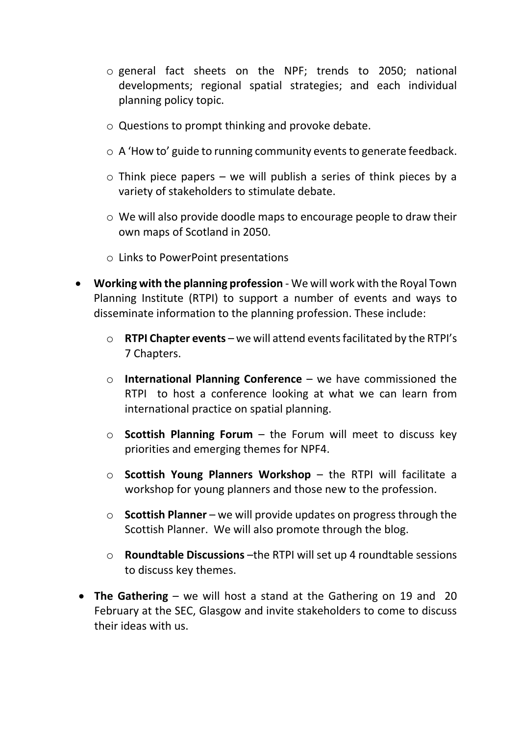- o general fact sheets on the NPF; trends to 2050; national developments; regional spatial strategies; and each individual planning policy topic.
- o Questions to prompt thinking and provoke debate.
- $\circ$  A 'How to' guide to running community events to generate feedback.
- $\circ$  Think piece papers we will publish a series of think pieces by a variety of stakeholders to stimulate debate.
- $\circ$  We will also provide doodle maps to encourage people to draw their own maps of Scotland in 2050.
- o Links to PowerPoint presentations
- **Working with the planning profession** We will work with the Royal Town Planning Institute (RTPI) to support a number of events and ways to disseminate information to the planning profession. These include:
	- o **RTPI Chapter events** we will attend events facilitated by the RTPI's 7 Chapters.
	- o **International Planning Conference** we have commissioned the RTPI to host a conference looking at what we can learn from international practice on spatial planning.
	- o **Scottish Planning Forum**  the Forum will meet to discuss key priorities and emerging themes for NPF4.
	- o **Scottish Young Planners Workshop** the RTPI will facilitate a workshop for young planners and those new to the profession.
	- o **Scottish Planner** we will provide updates on progress through the Scottish Planner. We will also promote through the blog.
	- o **Roundtable Discussions** –the RTPI will set up 4 roundtable sessions to discuss key themes.
- **The Gathering** we will host a stand at the Gathering on 19 and 20 February at the SEC, Glasgow and invite stakeholders to come to discuss their ideas with us.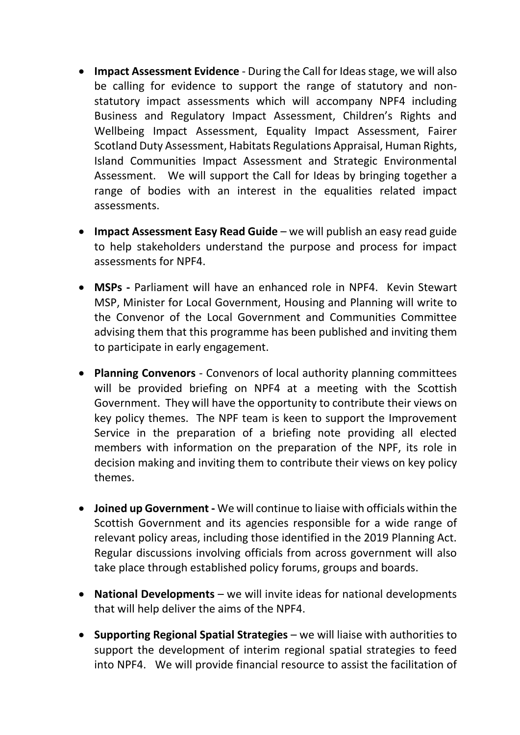- **Impact Assessment Evidence** During the Call for Ideas stage, we will also be calling for evidence to support the range of statutory and nonstatutory impact assessments which will accompany NPF4 including Business and Regulatory Impact Assessment, Children's Rights and Wellbeing Impact Assessment, Equality Impact Assessment, Fairer Scotland Duty Assessment, Habitats Regulations Appraisal, Human Rights, Island Communities Impact Assessment and Strategic Environmental Assessment. We will support the Call for Ideas by bringing together a range of bodies with an interest in the equalities related impact assessments.
- **Impact Assessment Easy Read Guide** we will publish an easy read guide to help stakeholders understand the purpose and process for impact assessments for NPF4.
- **MSPs -** Parliament will have an enhanced role in NPF4. Kevin Stewart MSP, Minister for Local Government, Housing and Planning will write to the Convenor of the Local Government and Communities Committee advising them that this programme has been published and inviting them to participate in early engagement.
- **Planning Convenors** Convenors of local authority planning committees will be provided briefing on NPF4 at a meeting with the Scottish Government. They will have the opportunity to contribute their views on key policy themes. The NPF team is keen to support the Improvement Service in the preparation of a briefing note providing all elected members with information on the preparation of the NPF, its role in decision making and inviting them to contribute their views on key policy themes.
- **Joined up Government -** We will continue to liaise with officials within the Scottish Government and its agencies responsible for a wide range of relevant policy areas, including those identified in the 2019 Planning Act. Regular discussions involving officials from across government will also take place through established policy forums, groups and boards.
- **National Developments** we will invite ideas for national developments that will help deliver the aims of the NPF4.
- **Supporting Regional Spatial Strategies** we will liaise with authorities to support the development of interim regional spatial strategies to feed into NPF4. We will provide financial resource to assist the facilitation of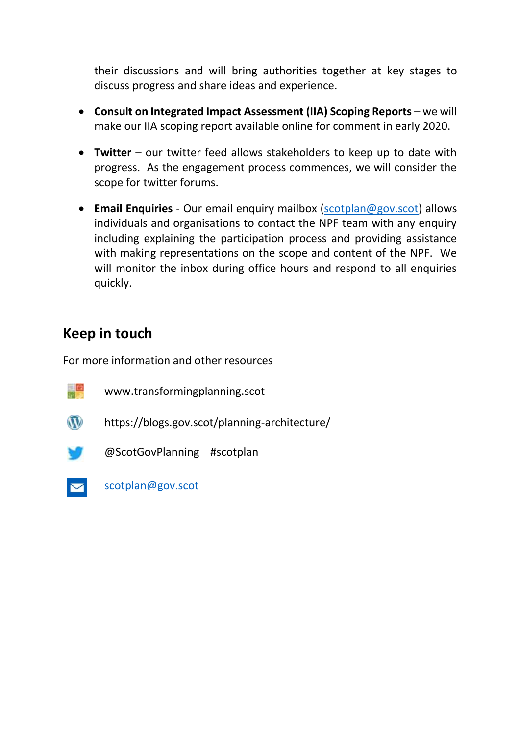their discussions and will bring authorities together at key stages to discuss progress and share ideas and experience.

- **Consult on Integrated Impact Assessment (IIA) Scoping Reports** we will make our IIA scoping report available online for comment in early 2020.
- **Twitter** our twitter feed allows stakeholders to keep up to date with progress. As the engagement process commences, we will consider the scope for twitter forums.
- **Email Enquiries** Our email enquiry mailbox [\(scotplan@gov.scot\)](mailto:scotplan@gov.scot) allows individuals and organisations to contact the NPF team with any enquiry including explaining the participation process and providing assistance with making representations on the scope and content of the NPF. We will monitor the inbox during office hours and respond to all enquiries quickly.

### **Keep in touch**

For more information and other resources



 $\tilde{\mathbf{w}}$ https://blogs.gov.scot/planning-architecture/



@ScotGovPlanning #scotplan



[scotplan@gov.scot](mailto:scotplan@gov.scot)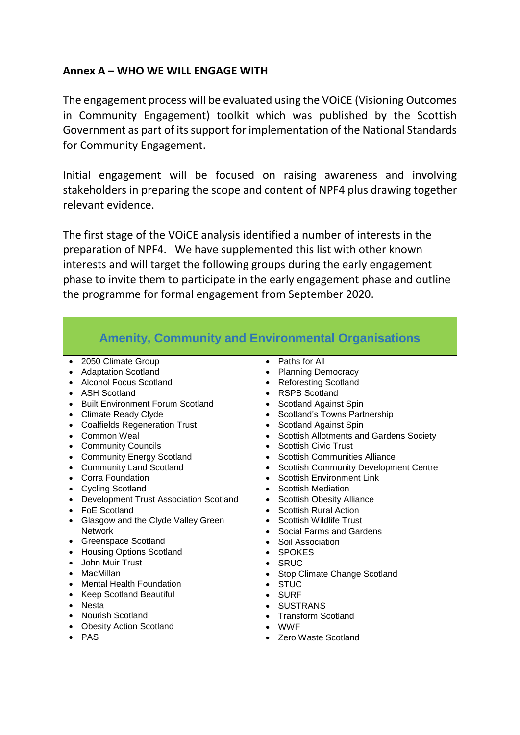### **Annex A – WHO WE WILL ENGAGE WITH**

The engagement process will be evaluated using the VOiCE (Visioning Outcomes in Community Engagement) toolkit which was published by the Scottish Government as part of its support for implementation of the National Standards for Community Engagement.

Initial engagement will be focused on raising awareness and involving stakeholders in preparing the scope and content of NPF4 plus drawing together relevant evidence.

The first stage of the VOiCE analysis identified a number of interests in the preparation of NPF4. We have supplemented this list with other known interests and will target the following groups during the early engagement phase to invite them to participate in the early engagement phase and outline the programme for formal engagement from September 2020.

| <b>Amenity, Community and Environmental Organisations</b>                                                                                                                                                                                                                                                                                                                                                                                                                                                                                                                                                                                                                                                                                                                                                                                                                                                                                                                                                                                          |                                                                                                                                                                                                                                                                                                                                                                                                                                                                                                                                                                                                                                                                                                                                                                                                                                                                                                                                                                                                             |  |
|----------------------------------------------------------------------------------------------------------------------------------------------------------------------------------------------------------------------------------------------------------------------------------------------------------------------------------------------------------------------------------------------------------------------------------------------------------------------------------------------------------------------------------------------------------------------------------------------------------------------------------------------------------------------------------------------------------------------------------------------------------------------------------------------------------------------------------------------------------------------------------------------------------------------------------------------------------------------------------------------------------------------------------------------------|-------------------------------------------------------------------------------------------------------------------------------------------------------------------------------------------------------------------------------------------------------------------------------------------------------------------------------------------------------------------------------------------------------------------------------------------------------------------------------------------------------------------------------------------------------------------------------------------------------------------------------------------------------------------------------------------------------------------------------------------------------------------------------------------------------------------------------------------------------------------------------------------------------------------------------------------------------------------------------------------------------------|--|
| 2050 Climate Group<br><b>Adaptation Scotland</b><br>$\bullet$<br><b>Alcohol Focus Scotland</b><br>$\bullet$<br><b>ASH Scotland</b><br>$\bullet$<br><b>Built Environment Forum Scotland</b><br>$\bullet$<br><b>Climate Ready Clyde</b><br>$\bullet$<br><b>Coalfields Regeneration Trust</b><br>$\bullet$<br>Common Weal<br>$\bullet$<br><b>Community Councils</b><br>$\bullet$<br><b>Community Energy Scotland</b><br>٠<br><b>Community Land Scotland</b><br>٠<br><b>Corra Foundation</b><br>$\bullet$<br><b>Cycling Scotland</b><br>$\bullet$<br><b>Development Trust Association Scotland</b><br>$\bullet$<br>FoE Scotland<br>$\bullet$<br>Glasgow and the Clyde Valley Green<br><b>Network</b><br><b>Greenspace Scotland</b><br>٠<br><b>Housing Options Scotland</b><br>$\bullet$<br>John Muir Trust<br>$\bullet$<br>MacMillan<br>$\bullet$<br><b>Mental Health Foundation</b><br>$\bullet$<br>Keep Scotland Beautiful<br>٠<br><b>Nesta</b><br>$\bullet$<br><b>Nourish Scotland</b><br>$\bullet$<br><b>Obesity Action Scotland</b><br><b>PAS</b> | • Paths for All<br><b>Planning Democracy</b><br><b>Reforesting Scotland</b><br>$\bullet$<br><b>RSPB Scotland</b><br>$\bullet$<br>Scotland Against Spin<br>$\bullet$<br>Scotland's Towns Partnership<br>$\bullet$<br>Scotland Against Spin<br>$\bullet$<br>Scottish Allotments and Gardens Society<br>$\bullet$<br>• Scottish Civic Trust<br><b>Scottish Communities Alliance</b><br>$\bullet$<br><b>Scottish Community Development Centre</b><br>$\bullet$<br><b>Scottish Environment Link</b><br>$\bullet$<br><b>Scottish Mediation</b><br><b>Scottish Obesity Alliance</b><br>$\bullet$<br><b>Scottish Rural Action</b><br>$\bullet$<br><b>Scottish Wildlife Trust</b><br>$\bullet$<br>Social Farms and Gardens<br>$\bullet$<br>• Soil Association<br>• SPOKES<br><b>SRUC</b><br>$\bullet$<br>Stop Climate Change Scotland<br>$\bullet$<br><b>STUC</b><br>$\bullet$<br><b>SURF</b><br>$\bullet$<br>• SUSTRANS<br><b>Transform Scotland</b><br>$\bullet$<br><b>WWF</b><br>$\bullet$<br>Zero Waste Scotland |  |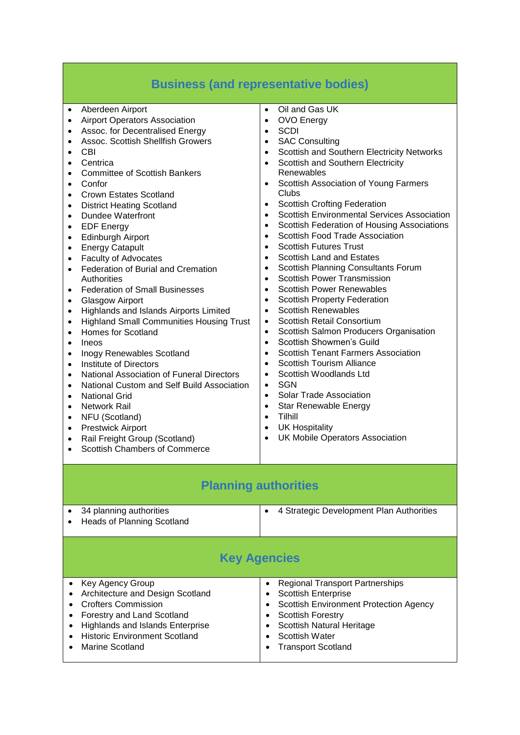### **Business (and representative bodies)**

- Aberdeen Airport
- Airport Operators Association
- Assoc. for Decentralised Energy
- Assoc. Scottish Shellfish Growers
- $\bullet$  CBI
- **•** Centrica
- Committee of Scottish Bankers
- Confor
- Crown Estates Scotland
- District Heating Scotland
- Dundee Waterfront
- EDF Energy
- **•** Edinburgh Airport
- Energy Catapult
- Faculty of Advocates
- Federation of Burial and Cremation **Authorities**
- Federation of Small Businesses
- Glasgow Airport
- Highlands and Islands Airports Limited
- Highland Small Communities Housing Trust
- Homes for Scotland
- $\bullet$  Ineos
- Inogy Renewables Scotland
- Institute of Directors
- National Association of Funeral Directors
- National Custom and Self Build Association
- National Grid
- Network Rail
- NFU (Scotland)
- Prestwick Airport
- Rail Freight Group (Scotland)
- Scottish Chambers of Commerce
- Oil and Gas UK
- OVO Energy
- SCDI
- SAC Consulting
- Scottish and Southern Electricity Networks
- Scottish and Southern Electricity Renewables
- Scottish Association of Young Farmers Clubs
- Scottish Crofting Federation
- Scottish Environmental Services Association
- Scottish Federation of Housing Associations
- Scottish Food Trade Association
- **•** Scottish Futures Trust
- Scottish Land and Estates
- Scottish Planning Consultants Forum
- Scottish Power Transmission
- Scottish Power Renewables
- Scottish Property Federation
- Scottish Renewables
- Scottish Retail Consortium
- Scottish Salmon Producers Organisation
- Scottish Showmen's Guild
- Scottish Tenant Farmers Association
- Scottish Tourism Alliance
- Scottish Woodlands Ltd
- **SGN**
- Solar Trade Association
- Star Renewable Energy
- Tilhill
- UK Hospitality
- UK Mobile Operators Association

### **Planning authorities**

- 34 planning authorities
- Heads of Planning Scotland
- 4 Strategic Development Plan Authorities

# **Key Agencies**

- Key Agency Group
- Architecture and Design Scotland
- Crofters Commission
- Forestry and Land Scotland
- Highlands and Islands Enterprise
- Historic Environment Scotland
- Marine Scotland
- 
- - Regional Transport Partnerships
		- Scottish Enterprise
		- Scottish Environment Protection Agency
		- Scottish Forestry
		- Scottish Natural Heritage
		- Scottish Water
		- Transport Scotland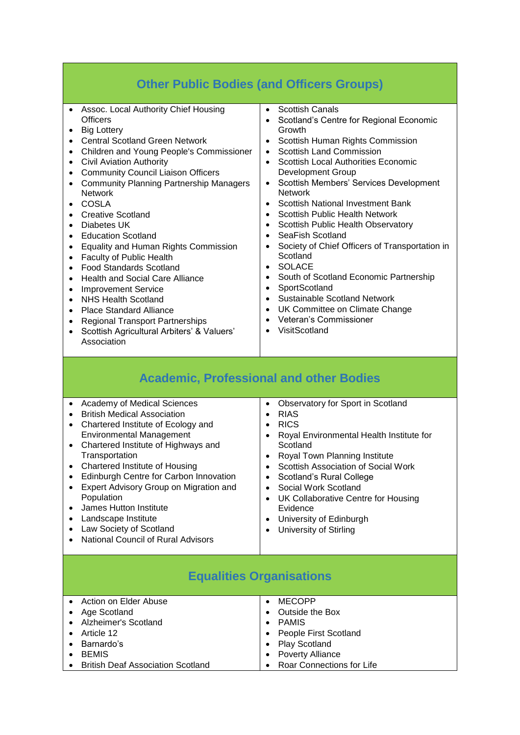### **Other Public Bodies (and Officers Groups)**

- Assoc. Local Authority Chief Housing **Officers**
- Big Lottery
- Central Scotland Green Network
- Children and Young People's Commissioner
- Civil Aviation Authority
- Community Council Liaison Officers
- Community Planning Partnership Managers **Network**
- COSLA
- Creative Scotland
- Diabetes UK
- Education Scotland
- Equality and Human Rights Commission
- Faculty of Public Health
- Food Standards Scotland
- Health and Social Care Alliance
- Improvement Service
- NHS Health Scotland
- Place Standard Alliance
- Regional Transport Partnerships
- Scottish Agricultural Arbiters' & Valuers' Association
- Scottish Canals
- Scotland's Centre for Regional Economic Growth
- Scottish Human Rights Commission
- Scottish Land Commission
- Scottish Local Authorities Economic Development Group
- Scottish Members' Services Development Network
- Scottish National Investment Bank
- Scottish Public Health Network
- Scottish Public Health Observatory
- SeaFish Scotland
- Society of Chief Officers of Transportation in **Scotland**
- SOLACE
- South of Scotland Economic Partnership
- **SportScotland**
- Sustainable Scotland Network
- UK Committee on Climate Change
- Veteran's Commissioner
- VisitScotland

### **Academic, Professional and other Bodies**

- Academy of Medical Sciences
- British Medical Association
- Chartered Institute of Ecology and Environmental Management
- Chartered Institute of Highways and **Transportation**
- Chartered Institute of Housing
- Edinburgh Centre for Carbon Innovation
- Expert Advisory Group on Migration and Population
- James Hutton Institute
- Landscape Institute

BEMIS

- Law Society of Scotland
- National Council of Rural Advisors

British Deaf Association Scotland

- Observatory for Sport in Scotland
- RIAS
- RICS
- Royal Environmental Health Institute for **Scotland**
- Royal Town Planning Institute
- Scottish Association of Social Work
- Scotland's Rural College
- Social Work Scotland
- UK Collaborative Centre for Housing Evidence
- University of Edinburgh
- University of Stirling

| <b>Equalities Organisations</b> |                           |  |
|---------------------------------|---------------------------|--|
| • Action on Elder Abuse         | MECOPP                    |  |
| • Age Scotland                  | Outside the Box           |  |
| • Alzheimer's Scotland          | <b>PAMIS</b><br>$\bullet$ |  |
| • Article $12$                  | People First Scotland     |  |
| • Barnardo's                    | <b>Play Scotland</b>      |  |

- Poverty Alliance
- Roar Connections for Life